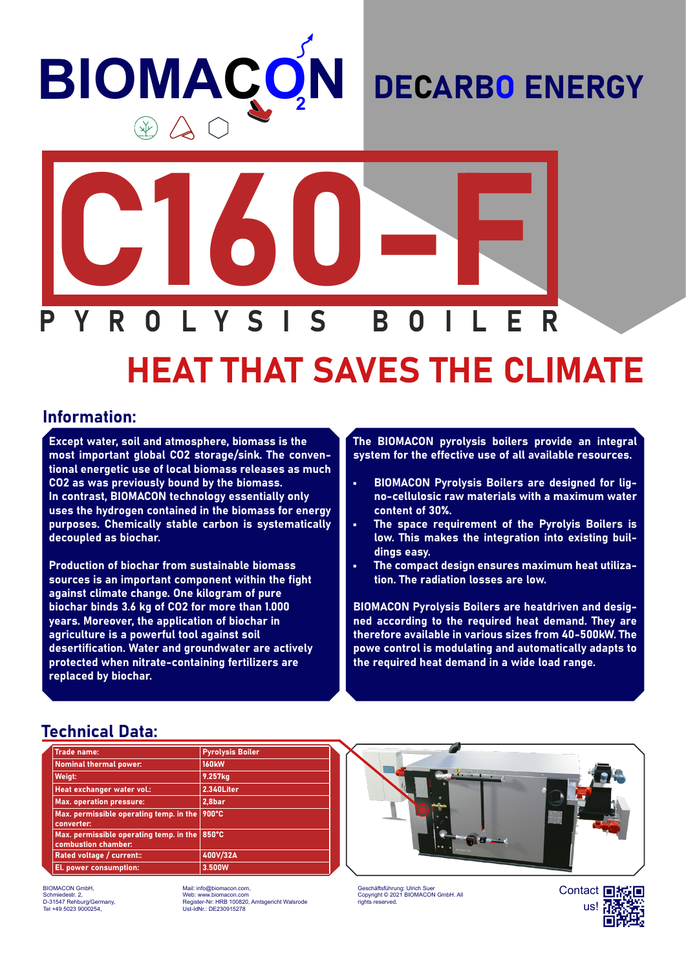# **BIOMAÇ N**

### DECARBO ENERGY



## HEAT THAT SAVES THE CLIMATE

#### Information:

Except water, soil and atmosphere, biomass is the most important global CO2 storage/sink. The conventional energetic use of local biomass releases as much CO2 as was previously bound by the biomass. In contrast, BIOMACON technology essentially only uses the hydrogen contained in the biomass for energy purposes. Chemically stable carbon is systematically decoupled as biochar.

Production of biochar from sustainable biomass sources is an important component within the fight against climate change. One kilogram of pure biochar binds 3.6 kg of CO2 for more than 1.000 years. Moreover, the application of biochar in agriculture is a powerful tool against soil desertification. Water and groundwater are actively protected when nitrate-containing fertilizers are replaced by biochar.

The BIOMACON pyrolysis boilers provide an integral system for the effective use of all available resources.

- BIOMACON Pyrolysis Boilers are designed for ligno-cellulosic raw materials with a maximum water content of 30%.
- The space requirement of the Pyrolyis Boilers is low. This makes the integration into existing buildings easy.
- The compact design ensures maximum heat utilization. The radiation losses are low.

BIOMACON Pyrolysis Boilers are heatdriven and designed according to the required heat demand. They are therefore available in various sizes from 40-500kW. The powe control is modulating and automatically adapts to the required heat demand in a wide load range.

#### Technical Data:

| <b>Trade name:</b>                                             | <b>Pyrolysis Boiler</b> |
|----------------------------------------------------------------|-------------------------|
| <b>Nominal thermal power:</b>                                  | <b>160kW</b>            |
| Weigt:                                                         | 9.257kg                 |
| Heat exchanger water vol.:                                     | 2.340Liter              |
| <b>Max.</b> operation pressure:                                | 2,8bar                  |
| Max. permissible operating temp. in the<br>converter:          | 900°C                   |
| Max. permissible operating temp. in the<br>combustion chamber: | 850°C                   |
| Rated voltage / current::                                      | 400V/32A                |
| El. power consumption:                                         | 3.500W                  |

BIOMACON GmbH, Schmiedestr. 2, D-31547 Rehburg/Germany, Tel +49 5023 9000254,

Mail: info@biomacon.com, Web: www.biomacon.com Register-Nr: HRB 100820, Amtsgericht Walsrode Ust-IdNr.: DE230915278



Geschäftsführung: Ulrich Suer Copyright © 2021 BIOMACON GmbH. All rights reserved.